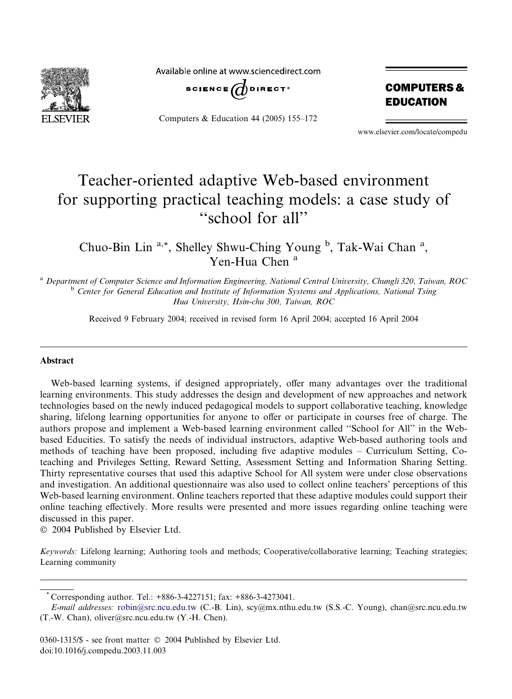

Available online at www.sciencedirect.com



Computers & Education 44 (2005) 155–172

**COMPUTERS & EDUCATION** 

www.elsevier.com/locate/compedu

# Teacher-oriented adaptive Web-based environment for supporting practical teaching models: a case study of ''school for all''

Chuo-Bin Lin<sup>a,\*</sup>, Shelley Shwu-Ching Young <sup>b</sup>, Tak-Wai Chan<sup>a</sup>, Yen-Hua Chen<sup>a</sup>

<sup>a</sup> Department of Computer Science and Information Engineering, National Central University, Chungli 320, Taiwan, ROC b Center for General Education and Institute of Information Systems and Applications, National Tsing Hua University, Hsin-chu 300, Taiwan, ROC

Received 9 February 2004; received in revised form 16 April 2004; accepted 16 April 2004

#### Abstract

Web-based learning systems, if designed appropriately, offer many advantages over the traditional learning environments. This study addresses the design and development of new approaches and network technologies based on the newly induced pedagogical models to support collaborative teaching, knowledge sharing, lifelong learning opportunities for anyone to offer or participate in courses free of charge. The authors propose and implement a Web-based learning environment called ''School for All'' in the Webbased Educities. To satisfy the needs of individual instructors, adaptive Web-based authoring tools and methods of teaching have been proposed, including five adaptive modules – Curriculum Setting, Coteaching and Privileges Setting, Reward Setting, Assessment Setting and Information Sharing Setting. Thirty representative courses that used this adaptive School for All system were under close observations and investigation. An additional questionnaire was also used to collect online teachers' perceptions of this Web-based learning environment. Online teachers reported that these adaptive modules could support their online teaching effectively. More results were presented and more issues regarding online teaching were discussed in this paper.

2004 Published by Elsevier Ltd.

Keywords: Lifelong learning; Authoring tools and methods; Cooperative/collaborative learning; Teaching strategies; Learning community

\* Corresponding author. Tel.: +886-3-4227151; fax: +886-3-4273041.

E-mail addresses: [robin@src.ncu.edu.tw](mail to: robin@src.ncu.edu.tw) (C.-B. Lin), scy@mx.nthu.edu.tw (S.S.-C. Young), chan@src.ncu.edu.tw (T.-W. Chan), oliver@src.ncu.edu.tw (Y.-H. Chen).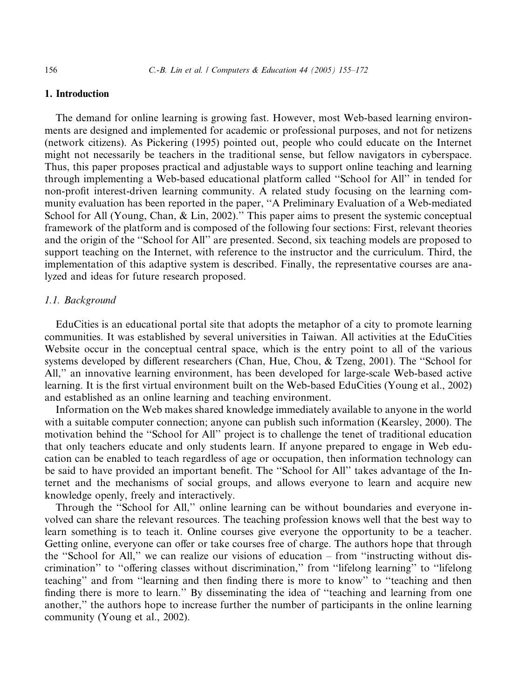# 1. Introduction

The demand for online learning is growing fast. However, most Web-based learning environments are designed and implemented for academic or professional purposes, and not for netizens (network citizens). As Pickering (1995) pointed out, people who could educate on the Internet might not necessarily be teachers in the traditional sense, but fellow navigators in cyberspace. Thus, this paper proposes practical and adjustable ways to support online teaching and learning through implementing a Web-based educational platform called ''School for All'' in tended for non-profit interest-driven learning community. A related study focusing on the learning community evaluation has been reported in the paper, ''A Preliminary Evaluation of a Web-mediated School for All (Young, Chan, & Lin, 2002)." This paper aims to present the systemic conceptual framework of the platform and is composed of the following four sections: First, relevant theories and the origin of the ''School for All'' are presented. Second, six teaching models are proposed to support teaching on the Internet, with reference to the instructor and the curriculum. Third, the implementation of this adaptive system is described. Finally, the representative courses are analyzed and ideas for future research proposed.

#### 1.1. Background

EduCities is an educational portal site that adopts the metaphor of a city to promote learning communities. It was established by several universities in Taiwan. All activities at the EduCities Website occur in the conceptual central space, which is the entry point to all of the various systems developed by different researchers (Chan, Hue, Chou, & Tzeng, 2001). The ''School for All,'' an innovative learning environment, has been developed for large-scale Web-based active learning. It is the first virtual environment built on the Web-based EduCities (Young et al., 2002) and established as an online learning and teaching environment.

Information on the Web makes shared knowledge immediately available to anyone in the world with a suitable computer connection; anyone can publish such information (Kearsley, 2000). The motivation behind the ''School for All'' project is to challenge the tenet of traditional education that only teachers educate and only students learn. If anyone prepared to engage in Web education can be enabled to teach regardless of age or occupation, then information technology can be said to have provided an important benefit. The ''School for All'' takes advantage of the Internet and the mechanisms of social groups, and allows everyone to learn and acquire new knowledge openly, freely and interactively.

Through the ''School for All,'' online learning can be without boundaries and everyone involved can share the relevant resources. The teaching profession knows well that the best way to learn something is to teach it. Online courses give everyone the opportunity to be a teacher. Getting online, everyone can offer or take courses free of charge. The authors hope that through the ''School for All,'' we can realize our visions of education – from ''instructing without discrimination'' to ''offering classes without discrimination,'' from ''lifelong learning'' to ''lifelong teaching'' and from ''learning and then finding there is more to know'' to ''teaching and then finding there is more to learn.'' By disseminating the idea of ''teaching and learning from one another,'' the authors hope to increase further the number of participants in the online learning community (Young et al., 2002).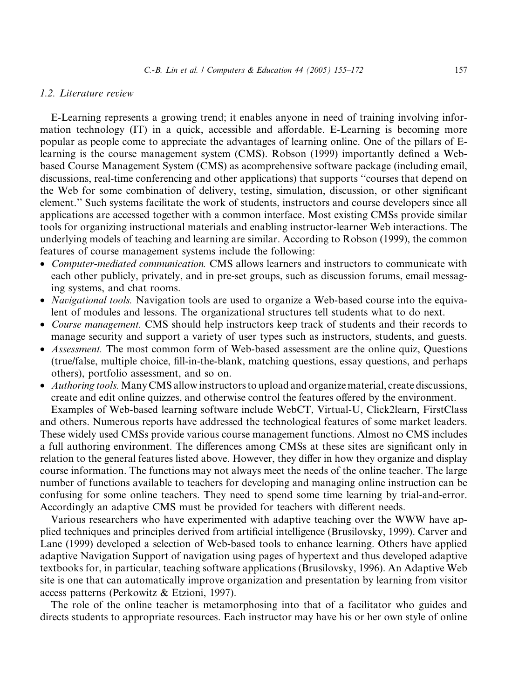## 1.2. Literature review

E-Learning represents a growing trend; it enables anyone in need of training involving information technology (IT) in a quick, accessible and affordable. E-Learning is becoming more popular as people come to appreciate the advantages of learning online. One of the pillars of Elearning is the course management system (CMS). Robson (1999) importantly defined a Webbased Course Management System (CMS) as acomprehensive software package (including email, discussions, real-time conferencing and other applications) that supports ''courses that depend on the Web for some combination of delivery, testing, simulation, discussion, or other significant element.'' Such systems facilitate the work of students, instructors and course developers since all applications are accessed together with a common interface. Most existing CMSs provide similar tools for organizing instructional materials and enabling instructor-learner Web interactions. The underlying models of teaching and learning are similar. According to Robson (1999), the common features of course management systems include the following:

- Computer-mediated communication. CMS allows learners and instructors to communicate with each other publicly, privately, and in pre-set groups, such as discussion forums, email messaging systems, and chat rooms.
- *Navigational tools.* Navigation tools are used to organize a Web-based course into the equivalent of modules and lessons. The organizational structures tell students what to do next.
- *Course management.* CMS should help instructors keep track of students and their records to manage security and support a variety of user types such as instructors, students, and guests.
- *Assessment*. The most common form of Web-based assessment are the online quiz, Questions (true/false, multiple choice, fill-in-the-blank, matching questions, essay questions, and perhaps others), portfolio assessment, and so on.
- *Authoring tools.* Many CMS allow instructors to upload and organize material, create discussions, create and edit online quizzes, and otherwise control the features offered by the environment.

Examples of Web-based learning software include WebCT, Virtual-U, Click2learn, FirstClass and others. Numerous reports have addressed the technological features of some market leaders. These widely used CMSs provide various course management functions. Almost no CMS includes a full authoring environment. The differences among CMSs at these sites are significant only in relation to the general features listed above. However, they differ in how they organize and display course information. The functions may not always meet the needs of the online teacher. The large number of functions available to teachers for developing and managing online instruction can be confusing for some online teachers. They need to spend some time learning by trial-and-error. Accordingly an adaptive CMS must be provided for teachers with different needs.

Various researchers who have experimented with adaptive teaching over the WWW have applied techniques and principles derived from artificial intelligence (Brusilovsky, 1999). Carver and Lane (1999) developed a selection of Web-based tools to enhance learning. Others have applied adaptive Navigation Support of navigation using pages of hypertext and thus developed adaptive textbooks for, in particular, teaching software applications (Brusilovsky, 1996). An Adaptive Web site is one that can automatically improve organization and presentation by learning from visitor access patterns (Perkowitz & Etzioni, 1997).

The role of the online teacher is metamorphosing into that of a facilitator who guides and directs students to appropriate resources. Each instructor may have his or her own style of online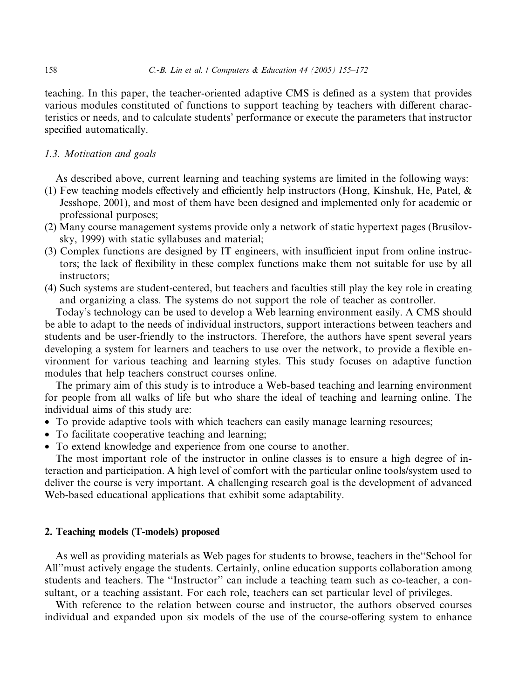teaching. In this paper, the teacher-oriented adaptive CMS is defined as a system that provides various modules constituted of functions to support teaching by teachers with different characteristics or needs, and to calculate students' performance or execute the parameters that instructor specified automatically.

# 1.3. Motivation and goals

As described above, current learning and teaching systems are limited in the following ways:

- (1) Few teaching models effectively and efficiently help instructors (Hong, Kinshuk, He, Patel, & Jesshope, 2001), and most of them have been designed and implemented only for academic or professional purposes;
- (2) Many course management systems provide only a network of static hypertext pages (Brusilovsky, 1999) with static syllabuses and material;
- (3) Complex functions are designed by IT engineers, with insufficient input from online instructors; the lack of flexibility in these complex functions make them not suitable for use by all instructors;
- (4) Such systems are student-centered, but teachers and faculties still play the key role in creating and organizing a class. The systems do not support the role of teacher as controller.

Today's technology can be used to develop a Web learning environment easily. A CMS should be able to adapt to the needs of individual instructors, support interactions between teachers and students and be user-friendly to the instructors. Therefore, the authors have spent several years developing a system for learners and teachers to use over the network, to provide a flexible environment for various teaching and learning styles. This study focuses on adaptive function modules that help teachers construct courses online.

The primary aim of this study is to introduce a Web-based teaching and learning environment for people from all walks of life but who share the ideal of teaching and learning online. The individual aims of this study are:

- To provide adaptive tools with which teachers can easily manage learning resources;
- To facilitate cooperative teaching and learning;
- To extend knowledge and experience from one course to another.

The most important role of the instructor in online classes is to ensure a high degree of interaction and participation. A high level of comfort with the particular online tools/system used to deliver the course is very important. A challenging research goal is the development of advanced Web-based educational applications that exhibit some adaptability.

#### 2. Teaching models (T-models) proposed

As well as providing materials as Web pages for students to browse, teachers in the''School for All''must actively engage the students. Certainly, online education supports collaboration among students and teachers. The ''Instructor'' can include a teaching team such as co-teacher, a consultant, or a teaching assistant. For each role, teachers can set particular level of privileges.

With reference to the relation between course and instructor, the authors observed courses individual and expanded upon six models of the use of the course-offering system to enhance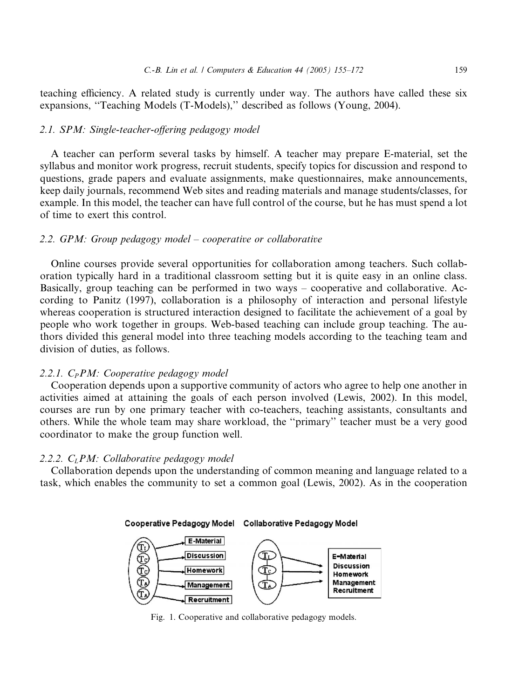teaching efficiency. A related study is currently under way. The authors have called these six expansions, ''Teaching Models (T-Models),'' described as follows (Young, 2004).

# 2.1. SPM: Single-teacher-offering pedagogy model

A teacher can perform several tasks by himself. A teacher may prepare E-material, set the syllabus and monitor work progress, recruit students, specify topics for discussion and respond to questions, grade papers and evaluate assignments, make questionnaires, make announcements, keep daily journals, recommend Web sites and reading materials and manage students/classes, for example. In this model, the teacher can have full control of the course, but he has must spend a lot of time to exert this control.

# 2.2. GPM: Group pedagogy model – cooperative or collaborative

Online courses provide several opportunities for collaboration among teachers. Such collaboration typically hard in a traditional classroom setting but it is quite easy in an online class. Basically, group teaching can be performed in two ways – cooperative and collaborative. According to Panitz (1997), collaboration is a philosophy of interaction and personal lifestyle whereas cooperation is structured interaction designed to facilitate the achievement of a goal by people who work together in groups. Web-based teaching can include group teaching. The authors divided this general model into three teaching models according to the teaching team and division of duties, as follows.

#### 2.2.1.  $C_PPM$ : Cooperative pedagogy model

Cooperation depends upon a supportive community of actors who agree to help one another in activities aimed at attaining the goals of each person involved (Lewis, 2002). In this model, courses are run by one primary teacher with co-teachers, teaching assistants, consultants and others. While the whole team may share workload, the ''primary'' teacher must be a very good coordinator to make the group function well.

#### 2.2.2.  $C<sub>L</sub>PM$ : Collaborative pedagogy model

Collaboration depends upon the understanding of common meaning and language related to a task, which enables the community to set a common goal (Lewis, 2002). As in the cooperation

#### Cooperative Pedagogy Model Collaborative Pedagogy Model



Fig. 1. Cooperative and collaborative pedagogy models.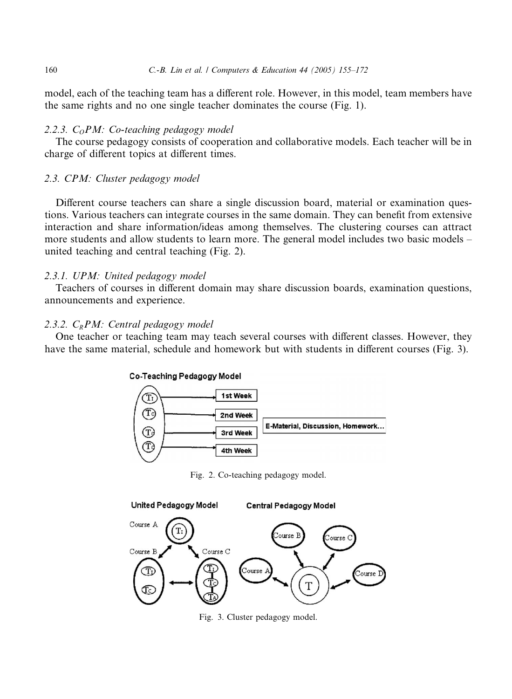model, each of the teaching team has a different role. However, in this model, team members have the same rights and no one single teacher dominates the course (Fig. 1).

#### 2.2.3.  $C_0PM$ : Co-teaching pedagogy model

The course pedagogy consists of cooperation and collaborative models. Each teacher will be in charge of different topics at different times.

# 2.3. CPM: Cluster pedagogy model

Different course teachers can share a single discussion board, material or examination questions. Various teachers can integrate courses in the same domain. They can benefit from extensive interaction and share information/ideas among themselves. The clustering courses can attract more students and allow students to learn more. The general model includes two basic models – united teaching and central teaching (Fig. 2).

# 2.3.1. UPM: United pedagogy model

Teachers of courses in different domain may share discussion boards, examination questions, announcements and experience.

# 2.3.2.  $C_RPM$ : Central pedagogy model

One teacher or teaching team may teach several courses with different classes. However, they have the same material, schedule and homework but with students in different courses (Fig. 3).



Fig. 2. Co-teaching pedagogy model.



Fig. 3. Cluster pedagogy model.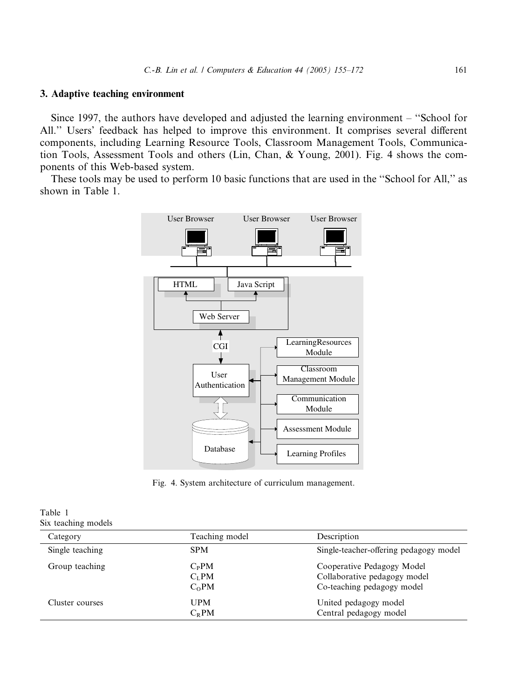#### 3. Adaptive teaching environment

Table 1

Since 1997, the authors have developed and adjusted the learning environment – ''School for All.'' Users' feedback has helped to improve this environment. It comprises several different components, including Learning Resource Tools, Classroom Management Tools, Communication Tools, Assessment Tools and others (Lin, Chan, & Young, 2001). Fig. 4 shows the components of this Web-based system.

These tools may be used to perform 10 basic functions that are used in the ''School for All,'' as shown in Table 1.



Fig. 4. System architecture of curriculum management.

| Six teaching models |                   |                                        |
|---------------------|-------------------|----------------------------------------|
| Category            | Teaching model    | Description                            |
| Single teaching     | <b>SPM</b>        | Single-teacher-offering pedagogy model |
| Group teaching      | $C_PPM$           | Cooperative Pedagogy Model             |
|                     | C <sub>L</sub> PM | Collaborative pedagogy model           |
|                     | $C_0PM$           | Co-teaching pedagogy model             |
| Cluster courses     | UPM               | United pedagogy model                  |
|                     | $C_R$ PM          | Central pedagogy model                 |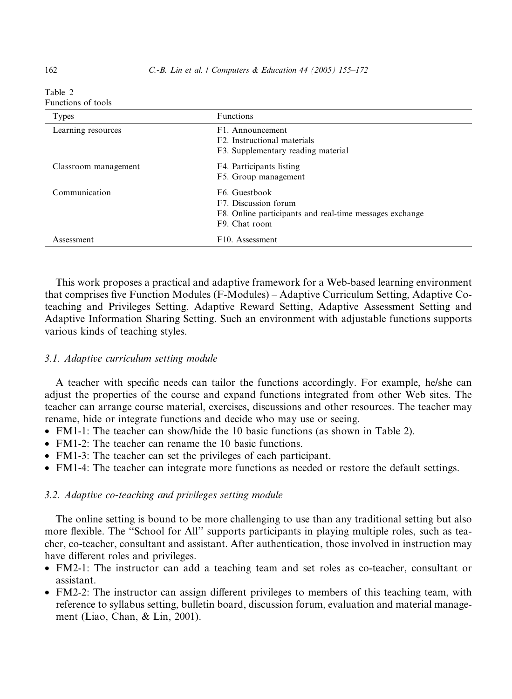| Table 2            |  |
|--------------------|--|
| Functions of tools |  |

| Types                | <b>Functions</b>                                        |
|----------------------|---------------------------------------------------------|
| Learning resources   | F1. Announcement                                        |
|                      | F <sub>2</sub> . Instructional materials                |
|                      | F3. Supplementary reading material                      |
| Classroom management | F4. Participants listing                                |
|                      | F5. Group management                                    |
| Communication        | F <sub>6</sub> . Guestbook                              |
|                      | F7. Discussion forum                                    |
|                      | F8. Online participants and real-time messages exchange |
|                      | F9. Chat room                                           |
| Assessment           | F <sub>10</sub> . Assessment                            |

This work proposes a practical and adaptive framework for a Web-based learning environment that comprises five Function Modules (F-Modules) – Adaptive Curriculum Setting, Adaptive Coteaching and Privileges Setting, Adaptive Reward Setting, Adaptive Assessment Setting and Adaptive Information Sharing Setting. Such an environment with adjustable functions supports various kinds of teaching styles.

# 3.1. Adaptive curriculum setting module

A teacher with specific needs can tailor the functions accordingly. For example, he/she can adjust the properties of the course and expand functions integrated from other Web sites. The teacher can arrange course material, exercises, discussions and other resources. The teacher may rename, hide or integrate functions and decide who may use or seeing.

- FM1-1: The teacher can show/hide the 10 basic functions (as shown in Table 2).
- FM1-2: The teacher can rename the 10 basic functions.
- FM1-3: The teacher can set the privileges of each participant.
- FM1-4: The teacher can integrate more functions as needed or restore the default settings.

# 3.2. Adaptive co-teaching and privileges setting module

The online setting is bound to be more challenging to use than any traditional setting but also more flexible. The ''School for All'' supports participants in playing multiple roles, such as teacher, co-teacher, consultant and assistant. After authentication, those involved in instruction may have different roles and privileges.

- FM2-1: The instructor can add a teaching team and set roles as co-teacher, consultant or assistant.
- FM2-2: The instructor can assign different privileges to members of this teaching team, with reference to syllabus setting, bulletin board, discussion forum, evaluation and material management (Liao, Chan, & Lin, 2001).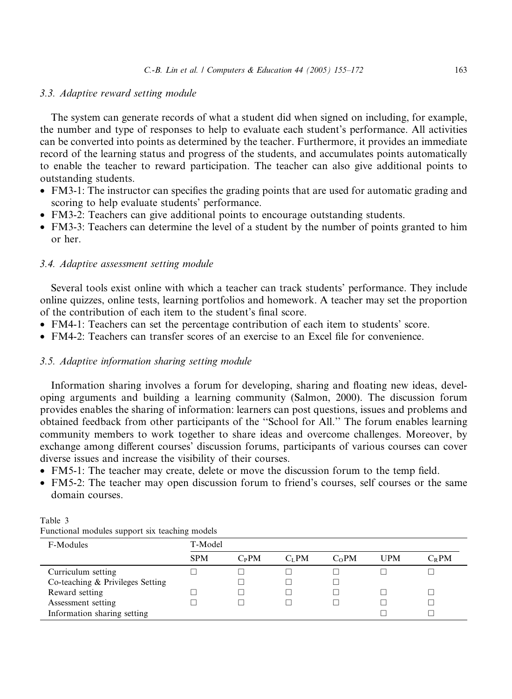#### 3.3. Adaptive reward setting module

The system can generate records of what a student did when signed on including, for example, the number and type of responses to help to evaluate each student's performance. All activities can be converted into points as determined by the teacher. Furthermore, it provides an immediate record of the learning status and progress of the students, and accumulates points automatically to enable the teacher to reward participation. The teacher can also give additional points to outstanding students.

- FM3-1: The instructor can specifies the grading points that are used for automatic grading and scoring to help evaluate students' performance.
- FM3-2: Teachers can give additional points to encourage outstanding students.
- FM3-3: Teachers can determine the level of a student by the number of points granted to him or her.

#### 3.4. Adaptive assessment setting module

Several tools exist online with which a teacher can track students' performance. They include online quizzes, online tests, learning portfolios and homework. A teacher may set the proportion of the contribution of each item to the student's final score.

- FM4-1: Teachers can set the percentage contribution of each item to students' score.
- FM4-2: Teachers can transfer scores of an exercise to an Excel file for convenience.

#### 3.5. Adaptive information sharing setting module

Information sharing involves a forum for developing, sharing and floating new ideas, developing arguments and building a learning community (Salmon, 2000). The discussion forum provides enables the sharing of information: learners can post questions, issues and problems and obtained feedback from other participants of the ''School for All.'' The forum enables learning community members to work together to share ideas and overcome challenges. Moreover, by exchange among different courses' discussion forums, participants of various courses can cover diverse issues and increase the visibility of their courses.

- FM5-1: The teacher may create, delete or move the discussion forum to the temp field.
- FM5-2: The teacher may open discussion forum to friend's courses, self courses or the same domain courses.

| . .                              | <u>.</u>   |         |          |         |            |          |
|----------------------------------|------------|---------|----------|---------|------------|----------|
| F-Modules                        | T-Model    |         |          |         |            |          |
|                                  | <b>SPM</b> | $C_PPM$ | $C_I$ PM | $C_0PM$ | <b>UPM</b> | $C_R$ PM |
| Curriculum setting               |            |         |          |         |            |          |
| Co-teaching & Privileges Setting |            |         |          |         |            |          |
| Reward setting                   |            |         |          |         |            |          |
| Assessment setting               |            |         |          |         |            |          |
| Information sharing setting      |            |         |          |         |            |          |

#### Table 3 Functional modules support six teaching models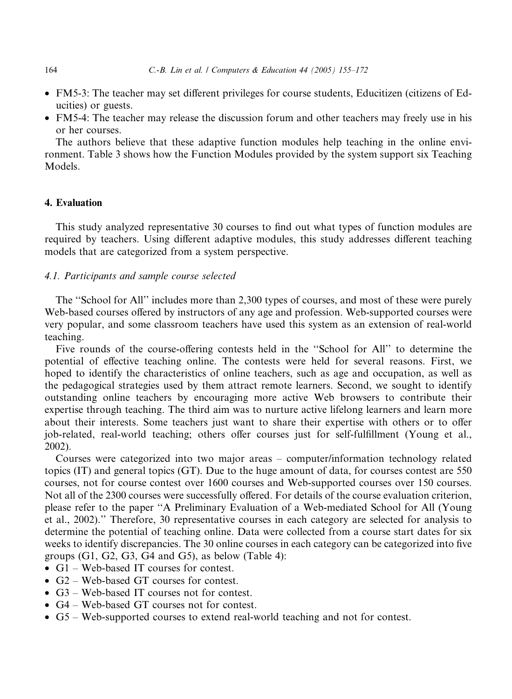- FM5-3: The teacher may set different privileges for course students, Educitizen (citizens of Educities) or guests.
- FM5-4: The teacher may release the discussion forum and other teachers may freely use in his or her courses.

The authors believe that these adaptive function modules help teaching in the online environment. Table 3 shows how the Function Modules provided by the system support six Teaching Models.

# 4. Evaluation

This study analyzed representative 30 courses to find out what types of function modules are required by teachers. Using different adaptive modules, this study addresses different teaching models that are categorized from a system perspective.

# 4.1. Participants and sample course selected

The ''School for All'' includes more than 2,300 types of courses, and most of these were purely Web-based courses offered by instructors of any age and profession. Web-supported courses were very popular, and some classroom teachers have used this system as an extension of real-world teaching.

Five rounds of the course-offering contests held in the ''School for All'' to determine the potential of effective teaching online. The contests were held for several reasons. First, we hoped to identify the characteristics of online teachers, such as age and occupation, as well as the pedagogical strategies used by them attract remote learners. Second, we sought to identify outstanding online teachers by encouraging more active Web browsers to contribute their expertise through teaching. The third aim was to nurture active lifelong learners and learn more about their interests. Some teachers just want to share their expertise with others or to offer job-related, real-world teaching; others offer courses just for self-fulfillment (Young et al., 2002).

Courses were categorized into two major areas – computer/information technology related topics (IT) and general topics (GT). Due to the huge amount of data, for courses contest are 550 courses, not for course contest over 1600 courses and Web-supported courses over 150 courses. Not all of the 2300 courses were successfully offered. For details of the course evaluation criterion, please refer to the paper ''A Preliminary Evaluation of a Web-mediated School for All (Young et al., 2002).'' Therefore, 30 representative courses in each category are selected for analysis to determine the potential of teaching online. Data were collected from a course start dates for six weeks to identify discrepancies. The 30 online courses in each category can be categorized into five groups (G1, G2, G3, G4 and G5), as below (Table 4):

- G1 Web-based IT courses for contest.
- G<sub>2</sub> Web-based GT courses for contest.
- G<sub>3</sub> Web-based IT courses not for contest.
- G4 Web-based GT courses not for contest.
- G5 Web-supported courses to extend real-world teaching and not for contest.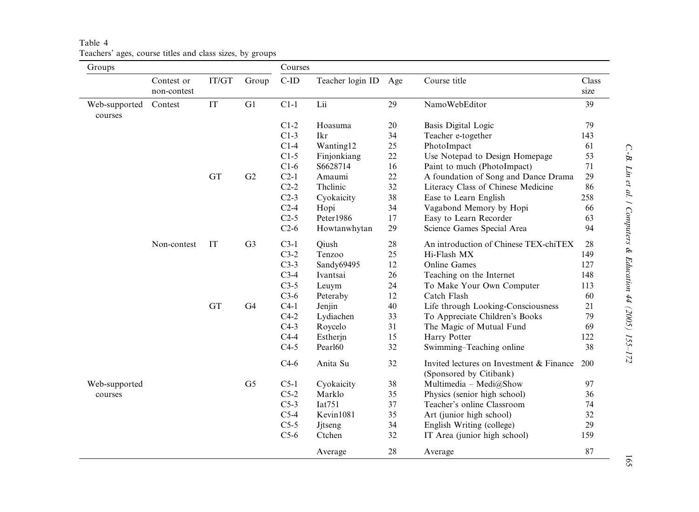| Groups                   |                           |           |                | Courses |                  |     |                                                                     |               |
|--------------------------|---------------------------|-----------|----------------|---------|------------------|-----|---------------------------------------------------------------------|---------------|
|                          | Contest or<br>non-contest | IT/GT     | Group          | $C$ -ID | Teacher login ID | Age | Course title                                                        | Class<br>size |
| Web-supported<br>courses | Contest                   | IT        | G1             | $C1-1$  | Lii              | 29  | NamoWebEditor                                                       | 39            |
|                          |                           |           |                | $C1-2$  | Hoasuma          | 20  | <b>Basis Digital Logic</b>                                          | 79            |
|                          |                           |           |                | $C1-3$  | Ikr              | 34  | Teacher e-together                                                  | 143           |
|                          |                           |           |                | $C1-4$  | Wanting12        | 25  | PhotoImpact                                                         | 61            |
|                          |                           |           |                | $C1-5$  | Finjonkiang      | 22  | Use Notepad to Design Homepage                                      | 53            |
|                          |                           |           |                | $C1-6$  | S6628714         | 16  | Paint to much (PhotoImpact)                                         | 71            |
|                          |                           | <b>GT</b> | G2             | $C2-1$  | Amaumi           | 22  | A foundation of Song and Dance Drama                                | 29            |
|                          |                           |           |                | $C2-2$  | Thelinic         | 32  | Literacy Class of Chinese Medicine                                  | 86            |
|                          |                           |           |                | $C2-3$  | Cyokaicity       | 38  | Ease to Learn English                                               | 258           |
|                          |                           |           |                | $C2-4$  | Hopi             | 34  | Vagabond Memory by Hopi                                             | 66            |
|                          |                           |           |                | $C2-5$  | Peter1986        | 17  | Easy to Learn Recorder                                              | 63            |
|                          |                           |           |                | $C2-6$  | Howtanwhytan     | 29  | Science Games Special Area                                          | 94            |
|                          | Non-contest               | IT        | G <sub>3</sub> | $C3-1$  | Qiush            | 28  | An introduction of Chinese TEX-chiTEX                               | 28            |
|                          |                           |           |                | $C3-2$  | Tenzoo           | 25  | Hi-Flash MX                                                         | 149           |
|                          |                           |           |                | $C3-3$  | Sandy69495       | 12  | <b>Online Games</b>                                                 | 127           |
|                          |                           |           |                | $C3-4$  | Ivantsai         | 26  | Teaching on the Internet                                            | 148           |
|                          |                           |           |                | $C3-5$  | Leuym            | 24  | To Make Your Own Computer                                           | 113           |
|                          |                           |           |                | $C3-6$  | Peteraby         | 12  | Catch Flash                                                         | 60            |
|                          |                           | <b>GT</b> | G <sub>4</sub> | $C4-1$  | Jenjin           | 40  | Life through Looking-Consciousness                                  | 21            |
|                          |                           |           |                | $C4-2$  | Lydiachen        | 33  | To Appreciate Children's Books                                      | 79            |
|                          |                           |           |                | $C4-3$  | Roycelo          | 31  | The Magic of Mutual Fund                                            | 69            |
|                          |                           |           |                | $C4-4$  | Estherin         | 15  | Harry Potter                                                        | 122           |
|                          |                           |           |                | $C4-5$  | Pearl60          | 32  | Swimming-Teaching online                                            | 38            |
|                          |                           |           |                | $C4-6$  | Anita Su         | 32  | Invited lectures on Investment & Finance<br>(Sponsored by Citibank) | 200           |
| Web-supported            |                           |           | G <sub>5</sub> | $C5-1$  | Cyokaicity       | 38  | Multimedia - Medi@Show                                              | 97            |
| courses                  |                           |           |                | $C5-2$  | Marklo           | 35  | Physics (senior high school)                                        | 36            |
|                          |                           |           |                | $C5-3$  | Iat751           | 37  | Teacher's online Classroom                                          | 74            |
|                          |                           |           |                | $C$ 5-4 | Kevin1081        | 35  | Art (junior high school)                                            | 32            |
|                          |                           |           |                | $C5-5$  | Jitseng          | 34  | English Writing (college)                                           | 29            |
|                          |                           |           |                | $C5-6$  | Ctchen           | 32  | IT Area (junior high school)                                        | 159           |
|                          |                           |           |                |         | Average          | 28  | Average                                                             | 87            |

Table 4 Teachers' ages, course titles and class sizes, by groups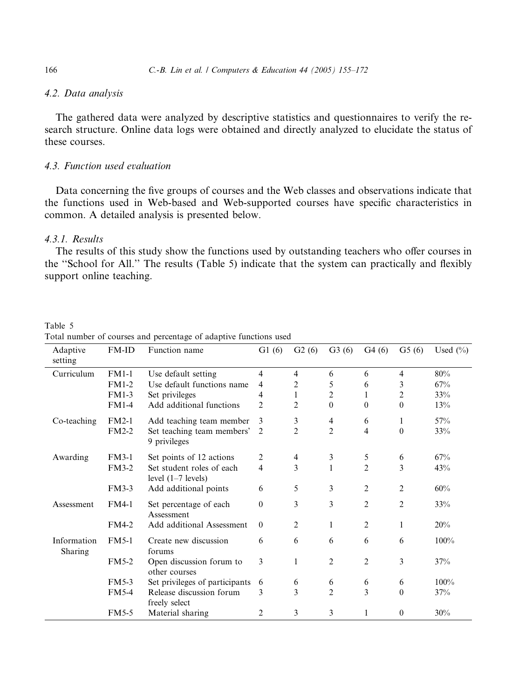# 4.2. Data analysis

The gathered data were analyzed by descriptive statistics and questionnaires to verify the research structure. Online data logs were obtained and directly analyzed to elucidate the status of these courses.

# 4.3. Function used evaluation

Data concerning the five groups of courses and the Web classes and observations indicate that the functions used in Web-based and Web-supported courses have specific characteristics in common. A detailed analysis is presented below.

# 4.3.1. Results

Table 5

The results of this study show the functions used by outstanding teachers who offer courses in the ''School for All.'' The results (Table 5) indicate that the system can practically and flexibly support online teaching.

| Adaptive<br>setting    | $FM-ID$      | Function name                                     | G1(6)          | G2(6)          | G3(6)          | G4(6)            | G5(6)            | Used $(\%$ |
|------------------------|--------------|---------------------------------------------------|----------------|----------------|----------------|------------------|------------------|------------|
| Curriculum             | $FM1-1$      | Use default setting                               | $\overline{4}$ | 4              | 6              | 6                | 4                | $80\%$     |
|                        | <b>FM1-2</b> | Use default functions name                        | $\overline{4}$ | 2              | 5              | 6                | 3                | 67%        |
|                        | FM1-3        | Set privileges                                    | $\overline{4}$ | 1              | 2              | 1                | 2                | 33%        |
|                        | FM1-4        | Add additional functions                          | 2              | $\overline{2}$ | $\mathbf{0}$   | $\boldsymbol{0}$ | $\theta$         | 13%        |
| Co-teaching            | $FM2-1$      | Add teaching team member                          | 3              | 3              | $\overline{4}$ | 6                | 1                | 57%        |
|                        | $FM2-2$      | Set teaching team members'<br>9 privileges        | 2              | $\overline{c}$ | $\overline{2}$ | 4                | $\overline{0}$   | 33%        |
| Awarding               | $FM3-1$      | Set points of 12 actions                          | $\overline{c}$ | 4              | 3              | 5                | 6                | 67%        |
|                        | <b>FM3-2</b> | Set student roles of each<br>level $(1-7$ levels) | 4              | 3              | 1              | $\overline{2}$   | 3                | 43%        |
|                        | $FM3-3$      | Add additional points                             | 6              | 5              | 3              | 2                | $\overline{2}$   | 60%        |
| Assessment             | FM4-1        | Set percentage of each<br>Assessment              | $\theta$       | 3              | 3              | 2                | $\overline{2}$   | 33%        |
|                        | $FM4-2$      | Add additional Assessment                         | $\theta$       | 2              | 1              | 2                | $\mathbf{1}$     | 20%        |
| Information<br>Sharing | <b>FM5-1</b> | Create new discussion<br>forums                   | 6              | 6              | 6              | 6                | 6                | 100%       |
|                        | <b>FM5-2</b> | Open discussion forum to<br>other courses         | 3              | 1              | 2              | $\overline{2}$   | 3                | 37%        |
|                        | <b>FM5-3</b> | Set privileges of participants                    | 6              | 6              | 6              | 6                | 6                | 100%       |
|                        | <b>FM5-4</b> | Release discussion forum<br>freely select         | 3              | 3              | $\overline{2}$ | 3                | $\theta$         | 37%        |
|                        | <b>FM5-5</b> | Material sharing                                  | $\overline{2}$ | 3              | 3              | 1                | $\boldsymbol{0}$ | 30%        |

Total number of courses and percentage of adaptive functions used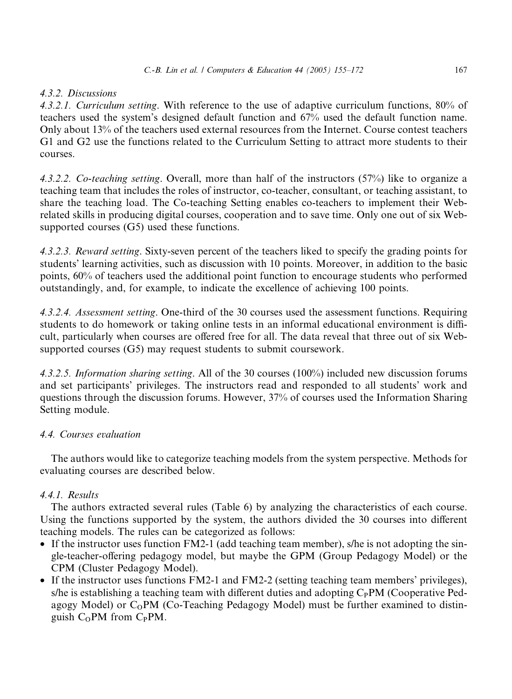# 4.3.2. Discussions

4.3.2.1. Curriculum setting. With reference to the use of adaptive curriculum functions, 80% of teachers used the system's designed default function and 67% used the default function name. Only about 13% of the teachers used external resources from the Internet. Course contest teachers G1 and G2 use the functions related to the Curriculum Setting to attract more students to their courses.

4.3.2.2. Co-teaching setting. Overall, more than half of the instructors (57%) like to organize a teaching team that includes the roles of instructor, co-teacher, consultant, or teaching assistant, to share the teaching load. The Co-teaching Setting enables co-teachers to implement their Webrelated skills in producing digital courses, cooperation and to save time. Only one out of six Websupported courses (G5) used these functions.

4.3.2.3. Reward setting. Sixty-seven percent of the teachers liked to specify the grading points for students' learning activities, such as discussion with 10 points. Moreover, in addition to the basic points, 60% of teachers used the additional point function to encourage students who performed outstandingly, and, for example, to indicate the excellence of achieving 100 points.

4.3.2.4. Assessment setting. One-third of the 30 courses used the assessment functions. Requiring students to do homework or taking online tests in an informal educational environment is difficult, particularly when courses are offered free for all. The data reveal that three out of six Websupported courses (G5) may request students to submit coursework.

4.3.2.5. Information sharing setting. All of the 30 courses (100%) included new discussion forums and set participants' privileges. The instructors read and responded to all students' work and questions through the discussion forums. However, 37% of courses used the Information Sharing Setting module.

# 4.4. Courses evaluation

The authors would like to categorize teaching models from the system perspective. Methods for evaluating courses are described below.

# 4.4.1. Results

The authors extracted several rules (Table 6) by analyzing the characteristics of each course. Using the functions supported by the system, the authors divided the 30 courses into different teaching models. The rules can be categorized as follows:

- If the instructor uses function FM2-1 (add teaching team member), s/he is not adopting the single-teacher-offering pedagogy model, but maybe the GPM (Group Pedagogy Model) or the CPM (Cluster Pedagogy Model).
- If the instructor uses functions FM2-1 and FM2-2 (setting teaching team members' privileges), s/he is establishing a teaching team with different duties and adopting  $C<sub>P</sub>PM$  (Cooperative Pedagogy Model) or  $C_0PM$  (Co-Teaching Pedagogy Model) must be further examined to distinguish  $C_0PM$  from  $C_2PM$ .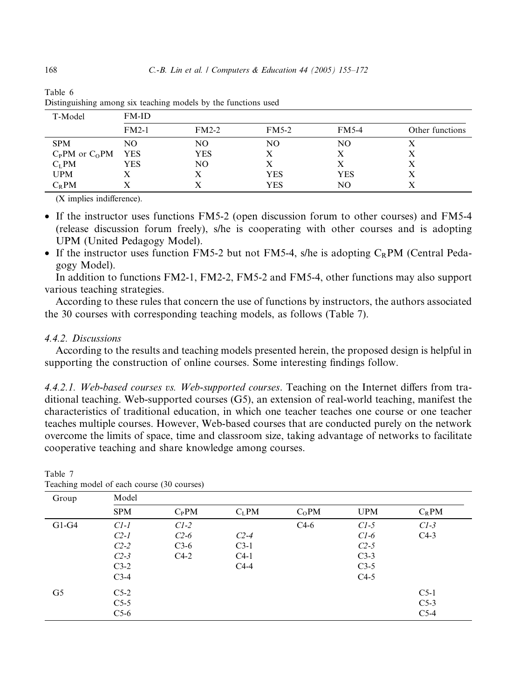| T-Model            | $FM-ID$    |         |              |              |                 |
|--------------------|------------|---------|--------------|--------------|-----------------|
|                    | $FM2-1$    | $FM2-2$ | <b>FM5-2</b> | <b>FM5-4</b> | Other functions |
| <b>SPM</b>         | NO.        | NO      | NO           | NO           |                 |
| $C_PPM$ or $C_QPM$ | <b>YES</b> | YES     |              |              |                 |
| C <sub>L</sub> PM  | <b>YES</b> | NO      |              |              |                 |
| <b>UPM</b>         |            |         | <b>YES</b>   | YES          |                 |
| $C_R$ PM           |            |         | <b>YES</b>   | NO.          |                 |

| Table 6                                                        |  |
|----------------------------------------------------------------|--|
| Distinguishing among six teaching models by the functions used |  |

(X implies indifference).

- If the instructor uses functions FM5-2 (open discussion forum to other courses) and FM5-4 (release discussion forum freely), s/he is cooperating with other courses and is adopting UPM (United Pedagogy Model).
- If the instructor uses function FM5-2 but not FM5-4, s/he is adopting  $C_RPM$  (Central Pedagogy Model).

In addition to functions FM2-1, FM2-2, FM5-2 and FM5-4, other functions may also support various teaching strategies.

According to these rules that concern the use of functions by instructors, the authors associated the 30 courses with corresponding teaching models, as follows (Table 7).

# 4.4.2. Discussions

Table 7

According to the results and teaching models presented herein, the proposed design is helpful in supporting the construction of online courses. Some interesting findings follow.

4.4.2.1. Web-based courses vs. Web-supported courses. Teaching on the Internet differs from traditional teaching. Web-supported courses (G5), an extension of real-world teaching, manifest the characteristics of traditional education, in which one teacher teaches one course or one teacher teaches multiple courses. However, Web-based courses that are conducted purely on the network overcome the limits of space, time and classroom size, taking advantage of networks to facilitate cooperative teaching and share knowledge among courses.

| Group          | Model      |          |                   |         |            |          |
|----------------|------------|----------|-------------------|---------|------------|----------|
|                | <b>SPM</b> | $C_P$ PM | C <sub>L</sub> PM | $C_0PM$ | <b>UPM</b> | $C_R$ PM |
| $G1-G4$        | $Cl-I$     | $Cl-2$   |                   | $C4-6$  | $C1-5$     | $Cl-3$   |
|                | $C2-I$     | $C2-6$   | $C2-4$            |         | $C1-6$     | $C4-3$   |
|                | $C2-2$     | $C3-6$   | $C3-1$            |         | $C2-5$     |          |
|                | $C2-3$     | $C4-2$   | $C4-1$            |         | $C3-3$     |          |
|                | $C3-2$     |          | $C4-4$            |         | $C3-5$     |          |
|                | $C3-4$     |          |                   |         | $C4-5$     |          |
| G <sub>5</sub> | $C5-2$     |          |                   |         |            | $C5-1$   |
|                | $C5-5$     |          |                   |         |            | $C5-3$   |
|                | $C5-6$     |          |                   |         |            | $C5-4$   |

Teaching model of each course (30 courses)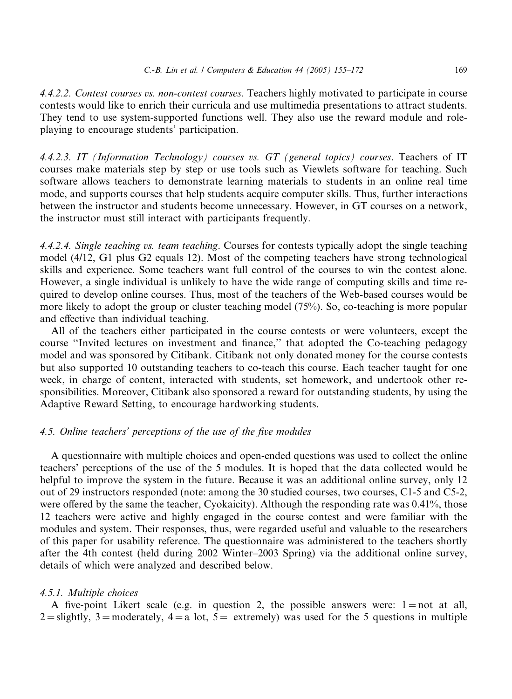4.4.2.2. Contest courses vs. non-contest courses. Teachers highly motivated to participate in course contests would like to enrich their curricula and use multimedia presentations to attract students. They tend to use system-supported functions well. They also use the reward module and roleplaying to encourage students' participation.

4.4.2.3. IT (Information Technology) courses vs. GT (general topics) courses. Teachers of IT courses make materials step by step or use tools such as Viewlets software for teaching. Such software allows teachers to demonstrate learning materials to students in an online real time mode, and supports courses that help students acquire computer skills. Thus, further interactions between the instructor and students become unnecessary. However, in GT courses on a network, the instructor must still interact with participants frequently.

4.4.2.4. Single teaching vs. team teaching. Courses for contests typically adopt the single teaching model (4/12, G1 plus G2 equals 12). Most of the competing teachers have strong technological skills and experience. Some teachers want full control of the courses to win the contest alone. However, a single individual is unlikely to have the wide range of computing skills and time required to develop online courses. Thus, most of the teachers of the Web-based courses would be more likely to adopt the group or cluster teaching model (75%). So, co-teaching is more popular and effective than individual teaching.

All of the teachers either participated in the course contests or were volunteers, except the course ''Invited lectures on investment and finance,'' that adopted the Co-teaching pedagogy model and was sponsored by Citibank. Citibank not only donated money for the course contests but also supported 10 outstanding teachers to co-teach this course. Each teacher taught for one week, in charge of content, interacted with students, set homework, and undertook other responsibilities. Moreover, Citibank also sponsored a reward for outstanding students, by using the Adaptive Reward Setting, to encourage hardworking students.

# 4.5. Online teachers' perceptions of the use of the five modules

A questionnaire with multiple choices and open-ended questions was used to collect the online teachers' perceptions of the use of the 5 modules. It is hoped that the data collected would be helpful to improve the system in the future. Because it was an additional online survey, only 12 out of 29 instructors responded (note: among the 30 studied courses, two courses, C1-5 and C5-2, were offered by the same the teacher, Cyokaicity). Although the responding rate was 0.41%, those 12 teachers were active and highly engaged in the course contest and were familiar with the modules and system. Their responses, thus, were regarded useful and valuable to the researchers of this paper for usability reference. The questionnaire was administered to the teachers shortly after the 4th contest (held during 2002 Winter–2003 Spring) via the additional online survey, details of which were analyzed and described below.

# 4.5.1. Multiple choices

A five-point Likert scale (e.g. in question 2, the possible answers were:  $1 = not at all$ ,  $2 =$  slightly, 3 = moderately, 4 = a lot, 5 = extremely) was used for the 5 questions in multiple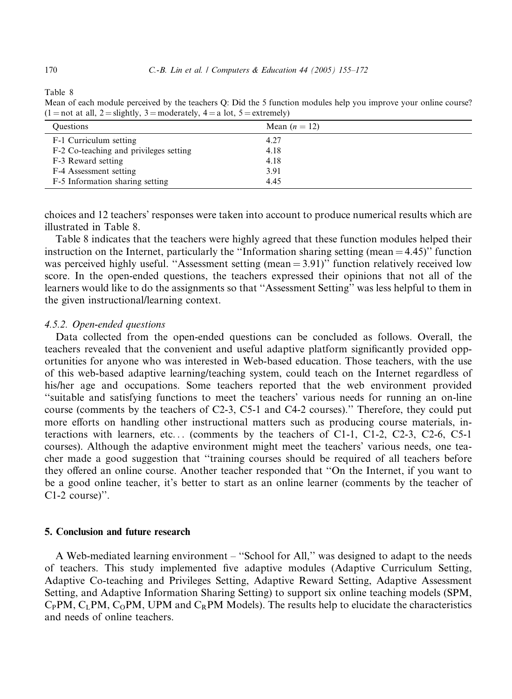Table 8

Mean of each module perceived by the teachers Q: Did the 5 function modules help you improve your online course?  $(1 = not at all, 2 = slightly, 3 = moderately, 4 = a lot, 5 = extremely)$ 

| <b>Ouestions</b>                       | Mean $(n = 12)$ |
|----------------------------------------|-----------------|
| F-1 Curriculum setting                 | 4.27            |
| F-2 Co-teaching and privileges setting | 4.18            |
| F-3 Reward setting                     | 4.18            |
| F-4 Assessment setting                 | 3.91            |
| F-5 Information sharing setting        | 4.45            |

choices and 12 teachers' responses were taken into account to produce numerical results which are illustrated in Table 8.

Table 8 indicates that the teachers were highly agreed that these function modules helped their instruction on the Internet, particularly the "Information sharing setting (mean =  $4.45$ )" function was perceived highly useful. "Assessment setting (mean  $= 3.91$ )" function relatively received low score. In the open-ended questions, the teachers expressed their opinions that not all of the learners would like to do the assignments so that ''Assessment Setting'' was less helpful to them in the given instructional/learning context.

#### 4.5.2. Open-ended questions

Data collected from the open-ended questions can be concluded as follows. Overall, the teachers revealed that the convenient and useful adaptive platform significantly provided opportunities for anyone who was interested in Web-based education. Those teachers, with the use of this web-based adaptive learning/teaching system, could teach on the Internet regardless of his/her age and occupations. Some teachers reported that the web environment provided ''suitable and satisfying functions to meet the teachers' various needs for running an on-line course (comments by the teachers of C2-3, C5-1 and C4-2 courses).'' Therefore, they could put more efforts on handling other instructional matters such as producing course materials, interactions with learners, etc... (comments by the teachers of C1-1, C1-2, C2-3, C2-6, C5-1 courses). Although the adaptive environment might meet the teachers' various needs, one teacher made a good suggestion that ''training courses should be required of all teachers before they offered an online course. Another teacher responded that ''On the Internet, if you want to be a good online teacher, it's better to start as an online learner (comments by the teacher of C1-2 course)''.

#### 5. Conclusion and future research

A Web-mediated learning environment – ''School for All,'' was designed to adapt to the needs of teachers. This study implemented five adaptive modules (Adaptive Curriculum Setting, Adaptive Co-teaching and Privileges Setting, Adaptive Reward Setting, Adaptive Assessment Setting, and Adaptive Information Sharing Setting) to support six online teaching models (SPM,  $C_PPM$ ,  $C_LPM$ ,  $C_OPM$ , UPM and  $C_RPM$  Models). The results help to elucidate the characteristics and needs of online teachers.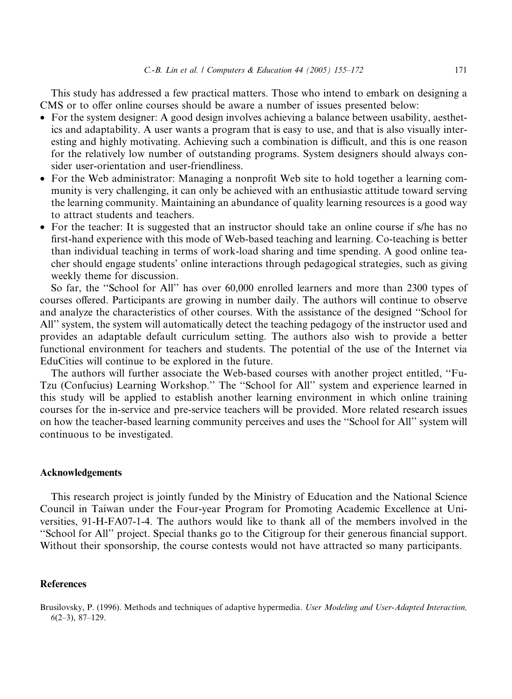This study has addressed a few practical matters. Those who intend to embark on designing a CMS or to offer online courses should be aware a number of issues presented below:

- For the system designer: A good design involves achieving a balance between usability, aesthetics and adaptability. A user wants a program that is easy to use, and that is also visually interesting and highly motivating. Achieving such a combination is difficult, and this is one reason for the relatively low number of outstanding programs. System designers should always consider user-orientation and user-friendliness.
- For the Web administrator: Managing a nonprofit Web site to hold together a learning community is very challenging, it can only be achieved with an enthusiastic attitude toward serving the learning community. Maintaining an abundance of quality learning resources is a good way to attract students and teachers.
- For the teacher: It is suggested that an instructor should take an online course if s/he has no first-hand experience with this mode of Web-based teaching and learning. Co-teaching is better than individual teaching in terms of work-load sharing and time spending. A good online teacher should engage students' online interactions through pedagogical strategies, such as giving weekly theme for discussion.

So far, the ''School for All'' has over 60,000 enrolled learners and more than 2300 types of courses offered. Participants are growing in number daily. The authors will continue to observe and analyze the characteristics of other courses. With the assistance of the designed ''School for All'' system, the system will automatically detect the teaching pedagogy of the instructor used and provides an adaptable default curriculum setting. The authors also wish to provide a better functional environment for teachers and students. The potential of the use of the Internet via EduCities will continue to be explored in the future.

The authors will further associate the Web-based courses with another project entitled, ''Fu-Tzu (Confucius) Learning Workshop.'' The ''School for All'' system and experience learned in this study will be applied to establish another learning environment in which online training courses for the in-service and pre-service teachers will be provided. More related research issues on how the teacher-based learning community perceives and uses the ''School for All'' system will continuous to be investigated.

# Acknowledgements

This research project is jointly funded by the Ministry of Education and the National Science Council in Taiwan under the Four-year Program for Promoting Academic Excellence at Universities, 91-H-FA07-1-4. The authors would like to thank all of the members involved in the ''School for All'' project. Special thanks go to the Citigroup for their generous financial support. Without their sponsorship, the course contests would not have attracted so many participants.

# References

Brusilovsky, P. (1996). Methods and techniques of adaptive hypermedia. User Modeling and User-Adapted Interaction, 6(2–3), 87–129.